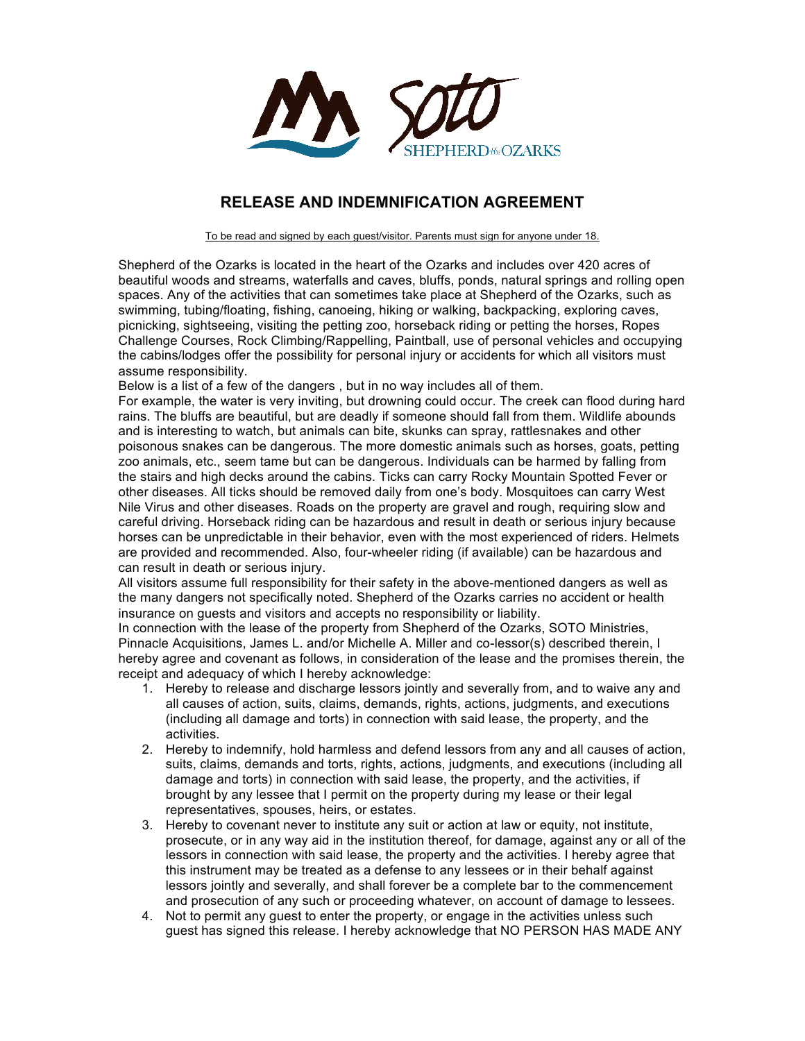

## **RELEASE AND INDEMNIFICATION AGREEMENT**

To be read and signed by each guest/visitor. Parents must sign for anyone under 18.

Shepherd of the Ozarks is located in the heart of the Ozarks and includes over 420 acres of beautiful woods and streams, waterfalls and caves, bluffs, ponds, natural springs and rolling open spaces. Any of the activities that can sometimes take place at Shepherd of the Ozarks, such as swimming, tubing/floating, fishing, canoeing, hiking or walking, backpacking, exploring caves, picnicking, sightseeing, visiting the petting zoo, horseback riding or petting the horses, Ropes Challenge Courses, Rock Climbing/Rappelling, Paintball, use of personal vehicles and occupying the cabins/lodges offer the possibility for personal injury or accidents for which all visitors must assume responsibility.

Below is a list of a few of the dangers , but in no way includes all of them.

For example, the water is very inviting, but drowning could occur. The creek can flood during hard rains. The bluffs are beautiful, but are deadly if someone should fall from them. Wildlife abounds and is interesting to watch, but animals can bite, skunks can spray, rattlesnakes and other poisonous snakes can be dangerous. The more domestic animals such as horses, goats, petting zoo animals, etc., seem tame but can be dangerous. Individuals can be harmed by falling from the stairs and high decks around the cabins. Ticks can carry Rocky Mountain Spotted Fever or other diseases. All ticks should be removed daily from one's body. Mosquitoes can carry West Nile Virus and other diseases. Roads on the property are gravel and rough, requiring slow and careful driving. Horseback riding can be hazardous and result in death or serious injury because horses can be unpredictable in their behavior, even with the most experienced of riders. Helmets are provided and recommended. Also, four-wheeler riding (if available) can be hazardous and can result in death or serious injury.

All visitors assume full responsibility for their safety in the above-mentioned dangers as well as the many dangers not specifically noted. Shepherd of the Ozarks carries no accident or health insurance on guests and visitors and accepts no responsibility or liability.

In connection with the lease of the property from Shepherd of the Ozarks, SOTO Ministries, Pinnacle Acquisitions, James L. and/or Michelle A. Miller and co-lessor(s) described therein, I hereby agree and covenant as follows, in consideration of the lease and the promises therein, the receipt and adequacy of which I hereby acknowledge:

- 1. Hereby to release and discharge lessors jointly and severally from, and to waive any and all causes of action, suits, claims, demands, rights, actions, judgments, and executions (including all damage and torts) in connection with said lease, the property, and the activities.
- 2. Hereby to indemnify, hold harmless and defend lessors from any and all causes of action, suits, claims, demands and torts, rights, actions, judgments, and executions (including all damage and torts) in connection with said lease, the property, and the activities, if brought by any lessee that I permit on the property during my lease or their legal representatives, spouses, heirs, or estates.
- 3. Hereby to covenant never to institute any suit or action at law or equity, not institute, prosecute, or in any way aid in the institution thereof, for damage, against any or all of the lessors in connection with said lease, the property and the activities. I hereby agree that this instrument may be treated as a defense to any lessees or in their behalf against lessors jointly and severally, and shall forever be a complete bar to the commencement and prosecution of any such or proceeding whatever, on account of damage to lessees.
- 4. Not to permit any guest to enter the property, or engage in the activities unless such guest has signed this release. I hereby acknowledge that NO PERSON HAS MADE ANY